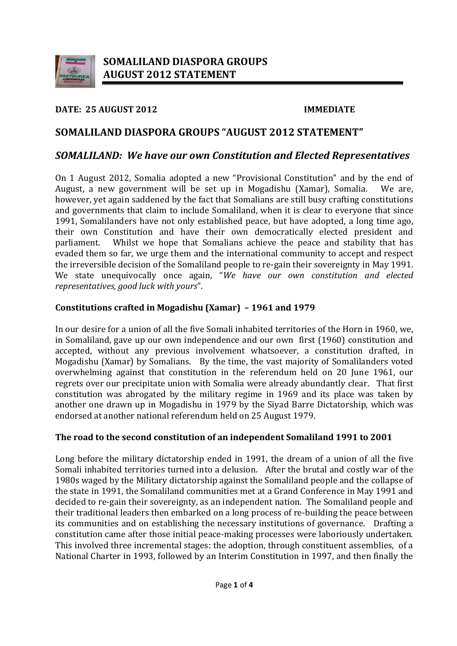

## **DATE: 25 AUGUST 2012 IMMEDIATE**

# **SOMALILAND DIASPORA GROUPS "AUGUST 2012 STATEMENT"**

## *SOMALILAND: We have our own Constitution and Elected Representatives*

On 1 August 2012, Somalia adopted a new "Provisional Constitution" and by the end of August, a new government will be set up in Mogadishu (Xamar), Somalia. however, yet again saddened by the fact that Somalians are still busy crafting constitutions and governments that claim to include Somaliland, when it is clear to everyone that since 1991, Somalilanders have not only established peace, but have adopted, a long time ago, their own Constitution and have their own democratically elected president and narliament. Whilst we hope that Somalians achieve the peace and stability that has Whilst we hope that Somalians achieve the peace and stability that has evaded them so far, we urge them and the international community to accept and respect the irreversible decision of the Somaliland people to re-gain their sovereignty in May 1991. We state unequivocally once again, "*We have our own constitution and elected representatives, good luck with yours*".

## **Constitutions crafted in Mogadishu (Xamar) – 1961 and 1979**

In our desire for a union of all the five Somali inhabited territories of the Horn in 1960, we, in Somaliland, gave up our own independence and our own first (1960) constitution and accepted, without any previous involvement whatsoever, a constitution drafted, in Mogadishu (Xamar) by Somalians. By the time, the vast majority of Somalilanders voted overwhelming against that constitution in the referendum held on 20 June 1961, our regrets over our precipitate union with Somalia were already abundantly clear. That first constitution was abrogated by the military regime in 1969 and its place was taken by another one drawn up in Mogadishu in 1979 by the Siyad Barre Dictatorship, which was endorsed at another national referendum held on 25 August 1979.

### **The road to the second constitution of an independent Somaliland 1991 to 2001**

Long before the military dictatorship ended in 1991, the dream of a union of all the five Somali inhabited territories turned into a delusion. After the brutal and costly war of the 1980s waged by the Military dictatorship against the Somaliland people and the collapse of the state in 1991, the Somaliland communities met at a Grand Conference in May 1991 and decided to re-gain their sovereignty, as an independent nation. The Somaliland people and their traditional leaders then embarked on a long process of re-building the peace between its communities and on establishing the necessary institutions of governance. Drafting a constitution came after those initial peace-making processes were laboriously undertaken. This involved three incremental stages: the adoption, through constituent assemblies, of a National Charter in 1993, followed by an Interim Constitution in 1997, and then finally the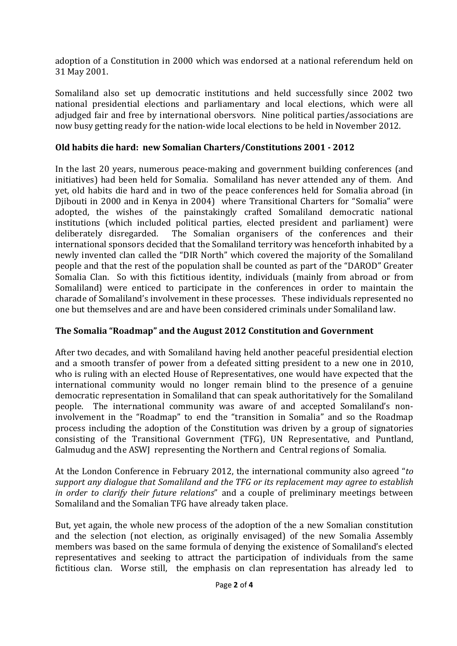adoption of a Constitution in 2000 which was endorsed at a national referendum held on 31 May 2001.

Somaliland also set up democratic institutions and held successfully since 2002 two national presidential elections and parliamentary and local elections, which were all adjudged fair and free by international obersvors. Nine political parties/associations are now busy getting ready for the nation-wide local elections to be held in November 2012.

## **Old habits die hard: new Somalian Charters/Constitutions 2001 - 2012**

In the last 20 years, numerous peace-making and government building conferences (and initiatives) had been held for Somalia. Somaliland has never attended any of them. And yet, old habits die hard and in two of the peace conferences held for Somalia abroad (in Djibouti in 2000 and in Kenya in 2004) where Transitional Charters for "Somalia" were adopted, the wishes of the painstakingly crafted Somaliland democratic national institutions (which included political parties, elected president and parliament) were deliberately disregarded. The Somalian organisers of the conferences and their The Somalian organisers of the conferences and their international sponsors decided that the Somaliland territory was henceforth inhabited by a newly invented clan called the "DIR North" which covered the majority of the Somaliland people and that the rest of the population shall be counted as part of the "DAROD" Greater Somalia Clan. So with this fictitious identity, individuals (mainly from abroad or from Somaliland) were enticed to participate in the conferences in order to maintain the charade of Somaliland's involvement in these processes. These individuals represented no one but themselves and are and have been considered criminals under Somaliland law.

## **The Somalia "Roadmap" and the August 2012 Constitution and Government**

After two decades, and with Somaliland having held another peaceful presidential election and a smooth transfer of power from a defeated sitting president to a new one in 2010, who is ruling with an elected House of Representatives, one would have expected that the international community would no longer remain blind to the presence of a genuine democratic representation in Somaliland that can speak authoritatively for the Somaliland people. The international community was aware of and accepted Somaliland's noninvolvement in the "Roadmap" to end the "transition in Somalia" and so the Roadmap process including the adoption of the Constitution was driven by a group of signatories consisting of the Transitional Government (TFG), UN Representative, and Puntland, Galmudug and the ASWJ representing the Northern and Central regions of Somalia.

At the London Conference in February 2012, the international community also agreed "*to support any dialogue that Somaliland and the TFG or its replacement may agree to establish in order to clarify their future relations*" and a couple of preliminary meetings between Somaliland and the Somalian TFG have already taken place.

But, yet again, the whole new process of the adoption of the a new Somalian constitution and the selection (not election, as originally envisaged) of the new Somalia Assembly members was based on the same formula of denying the existence of Somaliland's elected representatives and seeking to attract the participation of individuals from the same fictitious clan. Worse still, the emphasis on clan representation has already led to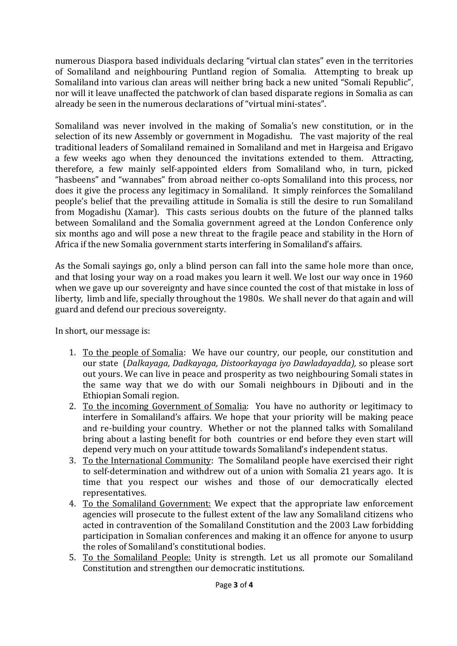numerous Diaspora based individuals declaring "virtual clan states" even in the territories of Somaliland and neighbouring Puntland region of Somalia. Attempting to break up Somaliland into various clan areas will neither bring back a new united "Somali Republic", nor will it leave unaffected the patchwork of clan based disparate regions in Somalia as can already be seen in the numerous declarations of "virtual mini-states".

Somaliland was never involved in the making of Somalia's new constitution, or in the selection of its new Assembly or government in Mogadishu. The vast majority of the real traditional leaders of Somaliland remained in Somaliland and met in Hargeisa and Erigavo a few weeks ago when they denounced the invitations extended to them. Attracting, therefore, a few mainly self-appointed elders from Somaliland who, in turn, picked "hasbeens" and "wannabes" from abroad neither co-opts Somaliland into this process, nor does it give the process any legitimacy in Somaliland. It simply reinforces the Somaliland people's belief that the prevailing attitude in Somalia is still the desire to run Somaliland from Mogadishu (Xamar). This casts serious doubts on the future of the planned talks between Somaliland and the Somalia government agreed at the London Conference only six months ago and will pose a new threat to the fragile peace and stability in the Horn of Africa if the new Somalia government starts interfering in Somaliland's affairs.

As the Somali sayings go, only a blind person can fall into the same hole more than once, and that losing your way on a road makes you learn it well. We lost our way once in 1960 when we gave up our sovereignty and have since counted the cost of that mistake in loss of liberty, limb and life, specially throughout the 1980s. We shall never do that again and will guard and defend our precious sovereignty.

In short, our message is:

- 1. To the people of Somalia: We have our country, our people, our constitution and our state (*Dalkayaga, Dadkayaga, Distoorkayaga iyo Dawladayadda),* so please sort out yours. We can live in peace and prosperity as two neighbouring Somali states in the same way that we do with our Somali neighbours in Djibouti and in the Ethiopian Somali region.
- 2. To the incoming Government of Somalia: You have no authority or legitimacy to interfere in Somaliland's affairs. We hope that your priority will be making peace and re-building your country. Whether or not the planned talks with Somaliland bring about a lasting benefit for both countries or end before they even start will depend very much on your attitude towards Somaliland's independent status.
- 3. To the International Community: The Somaliland people have exercised their right to self-determination and withdrew out of a union with Somalia 21 years ago. It is time that you respect our wishes and those of our democratically elected representatives.
- 4. To the Somaliland Government: We expect that the appropriate law enforcement agencies will prosecute to the fullest extent of the law any Somaliland citizens who acted in contravention of the Somaliland Constitution and the 2003 Law forbidding participation in Somalian conferences and making it an offence for anyone to usurp the roles of Somaliland's constitutional bodies.
- 5. To the Somaliland People: Unity is strength. Let us all promote our Somaliland Constitution and strengthen our democratic institutions.